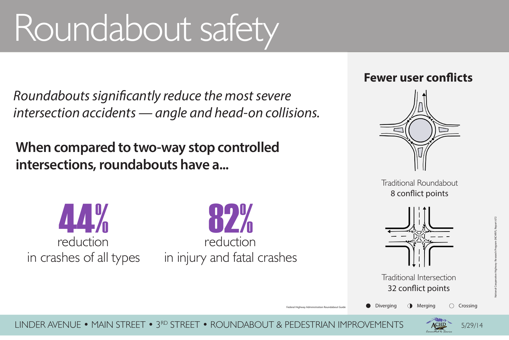



### Traditional Roundabout 8 conflict points



### Traditional Intersection 32 conflict points



**Diverging O** Merging C Crossing

5/29/14



LINDER AVENUE • MAIN STREET • 3RD STREET • ROUNDABOUT & PEDESTRIAN IMPROVEMENTS

## **When compared to two-way stop controlled intersections, roundabouts have a...**

Federal Highway Administration Roundabout Guide

# Roundabout safety

*Roundabouts significantly reduce the most severe intersection accidents — angle and head-on collisions.*

## in crashes of all types 44% reduction